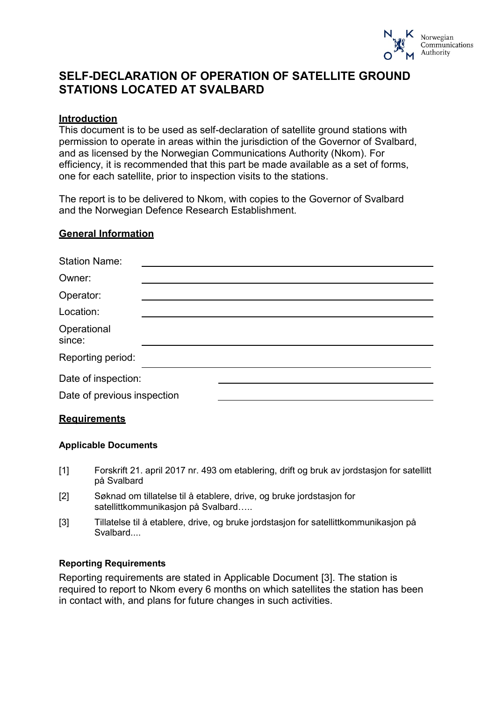

## **SELF-DECLARATION OF OPERATION OF SATELLITE GROUND STATIONS LOCATED AT SVALBARD**

## **Introduction**

This document is to be used as self-declaration of satellite ground stations with permission to operate in areas within the jurisdiction of the Governor of Svalbard, and as licensed by the Norwegian Communications Authority (Nkom). For efficiency, it is recommended that this part be made available as a set of forms, one for each satellite, prior to inspection visits to the stations.

The report is to be delivered to Nkom, with copies to the Governor of Svalbard and the Norwegian Defence Research Establishment.

## **General Information**

| <b>Station Name:</b>        |  |  |
|-----------------------------|--|--|
| Owner:                      |  |  |
| Operator:                   |  |  |
| Location:                   |  |  |
| Operational<br>since:       |  |  |
| Reporting period:           |  |  |
| Date of inspection:         |  |  |
| Date of previous inspection |  |  |
|                             |  |  |

#### **Requirements**

#### **Applicable Documents**

- <span id="page-0-1"></span>[1] Forskrift 21. april 2017 nr. 493 om etablering, drift og bruk av jordstasjon for satellitt på Svalbard
- [2] Søknad om tillatelse til å etablere, drive, og bruke jordstasjon for satellittkommunikasjon på Svalbard…..
- <span id="page-0-0"></span>[3] Tillatelse til å etablere, drive, og bruke jordstasjon for satellittkommunikasjon på Svalbard....

#### **Reporting Requirements**

Reporting requirements are stated in Applicable Document [\[3\]](#page-0-0). The station is required to report to Nkom every 6 months on which satellites the station has been in contact with, and plans for future changes in such activities.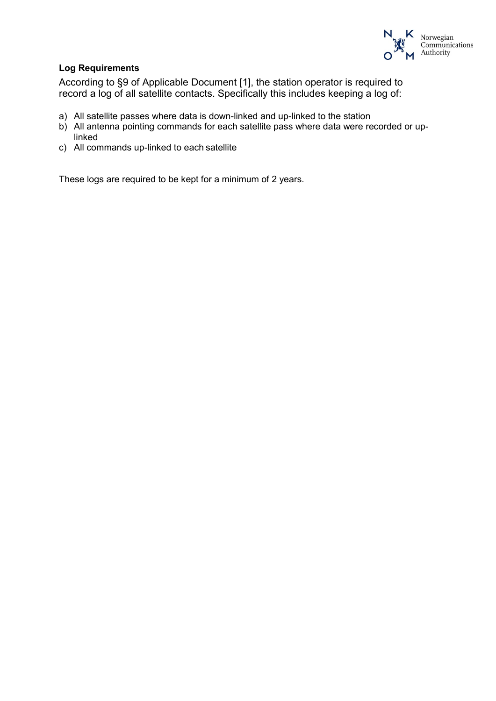

## **Log Requirements**

According to §9 of Applicable Document [\[1\]](#page-0-1), the station operator is required to record a log of all satellite contacts. Specifically this includes keeping a log of:

- a) All satellite passes where data is down-linked and up-linked to the station
- b) All antenna pointing commands for each satellite pass where data were recorded or uplinked
- c) All commands up-linked to each satellite

These logs are required to be kept for a minimum of 2 years.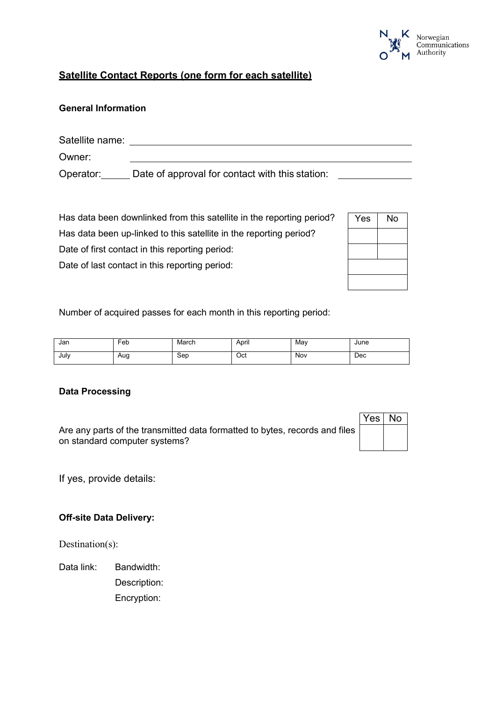

## **Satellite Contact Reports (one form for each satellite)**

## **General Information**

| Satellite name: |                                                 |  |
|-----------------|-------------------------------------------------|--|
| Owner:          |                                                 |  |
| Operator:       | Date of approval for contact with this station: |  |

Has data been downlinked from this satellite in the reporting period? Has data been up-linked to this satellite in the reporting period? Date of first contact in this reporting period: Date of last contact in this reporting period:

| Yes | <b>No</b> |
|-----|-----------|
|     |           |
|     |           |
|     |           |
|     |           |

Number of acquired passes for each month in this reporting period:

| Jan  | Feb | March | April | Mav | June |
|------|-----|-------|-------|-----|------|
| July | Aug | Sep   | Oct   | Nov | Dec  |

#### **Data Processing**

Are any parts of the transmitted data formatted to bytes, records and files on standard computer systems?

If yes, provide details:

### **Off-site Data Delivery:**

Destination(s):

Data link: Bandwidth: Description: Encryption:

| es | $\circ$ |
|----|---------|
|    |         |
|    |         |